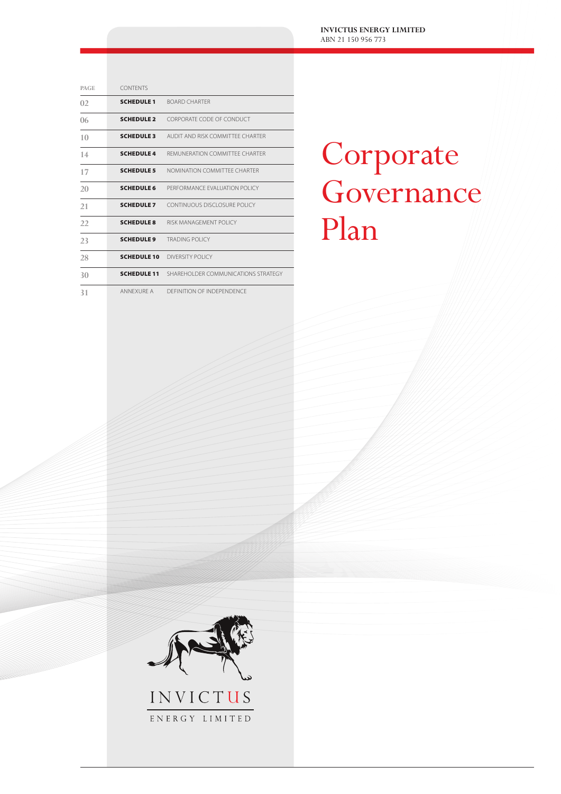**INVICTUS ENERGY LIMITED** ABN 21 150 956 773

| <b>PAGE</b>    | <b>CONTENTS</b>    |                                     |
|----------------|--------------------|-------------------------------------|
| 02             | <b>SCHEDULE 1</b>  | <b>BOARD CHARTER</b>                |
| 06             | <b>SCHEDULE 2</b>  | CORPORATE CODE OF CONDUCT           |
| 1 <sub>0</sub> | <b>SCHEDULE 3</b>  | AUDIT AND RISK COMMITTEE CHARTER    |
| 14             | <b>SCHEDULE 4</b>  | REMUNERATION COMMITTEE CHARTER      |
| 17             | <b>SCHEDULE 5</b>  | NOMINATION COMMITTEE CHARTER        |
| 20             | <b>SCHEDULE 6</b>  | PERFORMANCE EVALUATION POLICY       |
| 21             | <b>SCHEDULE 7</b>  | CONTINUOUS DISCLOSURE POLICY        |
| 22             | <b>SCHEDULE 8</b>  | RISK MANAGEMENT POLICY              |
| 23             | <b>SCHEDULE 9</b>  | <b>TRADING POLICY</b>               |
| 28             | <b>SCHEDULE 10</b> | DIVERSITY POLICY                    |
| 30             | <b>SCHEDULE 11</b> | SHARFHOLDER COMMUNICATIONS STRATEGY |
| 31             | ANNEXURE A         | DEFINITION OF INDEPENDENCE          |

# Corporate Governance Plan



ENERGY LIMITED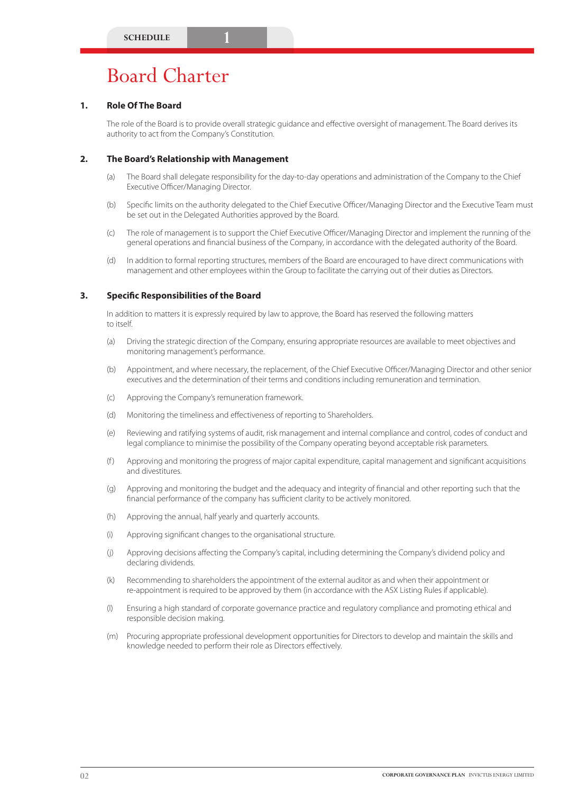# Board Charter

# **1. Role Of The Board**

The role of the Board is to provide overall strategic guidance and effective oversight of management. The Board derives its authority to act from the Company's Constitution.

# **2. The Board's Relationship with Management**

- (a) The Board shall delegate responsibility for the day-to-day operations and administration of the Company to the Chief Executive Officer/Managing Director.
- (b) Specific limits on the authority delegated to the Chief Executive Officer/Managing Director and the Executive Team must be set out in the Delegated Authorities approved by the Board.
- (c) The role of management is to support the Chief Executive Officer/Managing Director and implement the running of the general operations and financial business of the Company, in accordance with the delegated authority of the Board.
- (d) In addition to formal reporting structures, members of the Board are encouraged to have direct communications with management and other employees within the Group to facilitate the carrying out of their duties as Directors.

### **3. Specific Responsibilities of the Board**

In addition to matters it is expressly required by law to approve, the Board has reserved the following matters to itself.

- (a) Driving the strategic direction of the Company, ensuring appropriate resources are available to meet objectives and monitoring management's performance.
- (b) Appointment, and where necessary, the replacement, of the Chief Executive Officer/Managing Director and other senior executives and the determination of their terms and conditions including remuneration and termination.
- (c) Approving the Company's remuneration framework.
- (d) Monitoring the timeliness and effectiveness of reporting to Shareholders.
- (e) Reviewing and ratifying systems of audit, risk management and internal compliance and control, codes of conduct and legal compliance to minimise the possibility of the Company operating beyond acceptable risk parameters.
- (f ) Approving and monitoring the progress of major capital expenditure, capital management and significant acquisitions and divestitures.
- (g) Approving and monitoring the budget and the adequacy and integrity of financial and other reporting such that the financial performance of the company has sufficient clarity to be actively monitored.
- (h) Approving the annual, half yearly and quarterly accounts.
- (i) Approving significant changes to the organisational structure.
- (j) Approving decisions affecting the Company's capital, including determining the Company's dividend policy and declaring dividends.
- (k) Recommending to shareholders the appointment of the external auditor as and when their appointment or re-appointment is required to be approved by them (in accordance with the ASX Listing Rules if applicable).
- (l) Ensuring a high standard of corporate governance practice and regulatory compliance and promoting ethical and responsible decision making.
- (m) Procuring appropriate professional development opportunities for Directors to develop and maintain the skills and knowledge needed to perform their role as Directors effectively.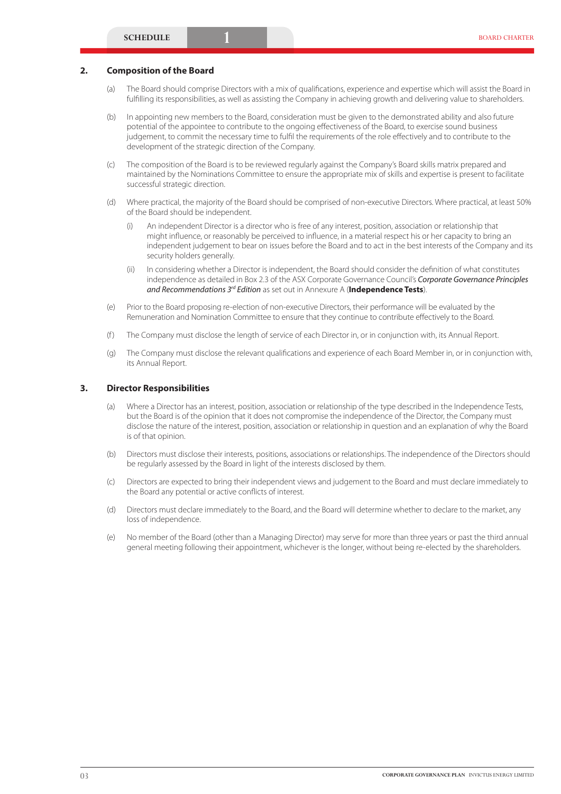#### **2. Composition of the Board**

- (a) The Board should comprise Directors with a mix of qualifications, experience and expertise which will assist the Board in fulfilling its responsibilities, as well as assisting the Company in achieving growth and delivering value to shareholders.
- (b) In appointing new members to the Board, consideration must be given to the demonstrated ability and also future potential of the appointee to contribute to the ongoing effectiveness of the Board, to exercise sound business judgement, to commit the necessary time to fulfil the requirements of the role effectively and to contribute to the development of the strategic direction of the Company.
- (c) The composition of the Board is to be reviewed regularly against the Company's Board skills matrix prepared and maintained by the Nominations Committee to ensure the appropriate mix of skills and expertise is present to facilitate successful strategic direction.
- (d) Where practical, the majority of the Board should be comprised of non-executive Directors. Where practical, at least 50% of the Board should be independent.
	- (i) An independent Director is a director who is free of any interest, position, association or relationship that might influence, or reasonably be perceived to influence, in a material respect his or her capacity to bring an independent judgement to bear on issues before the Board and to act in the best interests of the Company and its security holders generally.
	- (ii) In considering whether a Director is independent, the Board should consider the definition of what constitutes independence as detailed in Box 2.3 of the ASX Corporate Governance Council's *Corporate Governance Principles and Recommendations 3rd Edition* as set out in Annexure A (**Independence Tests**).
- (e) Prior to the Board proposing re-election of non-executive Directors, their performance will be evaluated by the Remuneration and Nomination Committee to ensure that they continue to contribute effectively to the Board.
- (f) The Company must disclose the length of service of each Director in, or in conjunction with, its Annual Report.
- (g) The Company must disclose the relevant qualifications and experience of each Board Member in, or in conjunction with, its Annual Report.

#### **3. Director Responsibilities**

- (a) Where a Director has an interest, position, association or relationship of the type described in the Independence Tests, but the Board is of the opinion that it does not compromise the independence of the Director, the Company must disclose the nature of the interest, position, association or relationship in question and an explanation of why the Board is of that opinion.
- (b) Directors must disclose their interests, positions, associations or relationships. The independence of the Directors should be regularly assessed by the Board in light of the interests disclosed by them.
- (c) Directors are expected to bring their independent views and judgement to the Board and must declare immediately to the Board any potential or active conflicts of interest.
- (d) Directors must declare immediately to the Board, and the Board will determine whether to declare to the market, any loss of independence.
- (e) No member of the Board (other than a Managing Director) may serve for more than three years or past the third annual general meeting following their appointment, whichever is the longer, without being re-elected by the shareholders.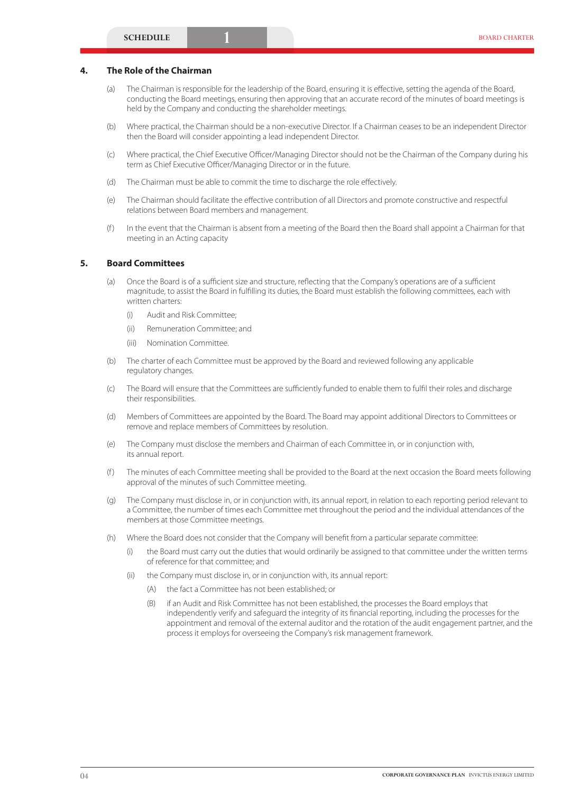# **4. The Role of the Chairman**

- (a) The Chairman is responsible for the leadership of the Board, ensuring it is effective, setting the agenda of the Board, conducting the Board meetings, ensuring then approving that an accurate record of the minutes of board meetings is held by the Company and conducting the shareholder meetings.
- (b) Where practical, the Chairman should be a non-executive Director. If a Chairman ceases to be an independent Director then the Board will consider appointing a lead independent Director.
- (c) Where practical, the Chief Executive Officer/Managing Director should not be the Chairman of the Company during his term as Chief Executive Officer/Managing Director or in the future.
- (d) The Chairman must be able to commit the time to discharge the role effectively.
- (e) The Chairman should facilitate the effective contribution of all Directors and promote constructive and respectful relations between Board members and management.
- (f ) In the event that the Chairman is absent from a meeting of the Board then the Board shall appoint a Chairman for that meeting in an Acting capacity

# **5. Board Committees**

- (a) Once the Board is of a sufficient size and structure, reflecting that the Company's operations are of a sufficient magnitude, to assist the Board in fulfilling its duties, the Board must establish the following committees, each with written charters:
	- (i) Audit and Risk Committee;
	- (ii) Remuneration Committee; and
	- (iii) Nomination Committee.
- (b) The charter of each Committee must be approved by the Board and reviewed following any applicable regulatory changes.
- (c) The Board will ensure that the Committees are sufficiently funded to enable them to fulfil their roles and discharge their responsibilities.
- (d) Members of Committees are appointed by the Board. The Board may appoint additional Directors to Committees or remove and replace members of Committees by resolution.
- (e) The Company must disclose the members and Chairman of each Committee in, or in conjunction with, its annual report.
- (f ) The minutes of each Committee meeting shall be provided to the Board at the next occasion the Board meets following approval of the minutes of such Committee meeting.
- (g) The Company must disclose in, or in conjunction with, its annual report, in relation to each reporting period relevant to a Committee, the number of times each Committee met throughout the period and the individual attendances of the members at those Committee meetings.
- (h) Where the Board does not consider that the Company will benefit from a particular separate committee:
	- (i) the Board must carry out the duties that would ordinarily be assigned to that committee under the written terms of reference for that committee; and
	- (ii) the Company must disclose in, or in conjunction with, its annual report:
		- (A) the fact a Committee has not been established; or
		- (B) if an Audit and Risk Committee has not been established, the processes the Board employs that independently verify and safeguard the integrity of its financial reporting, including the processes for the appointment and removal of the external auditor and the rotation of the audit engagement partner, and the process it employs for overseeing the Company's risk management framework.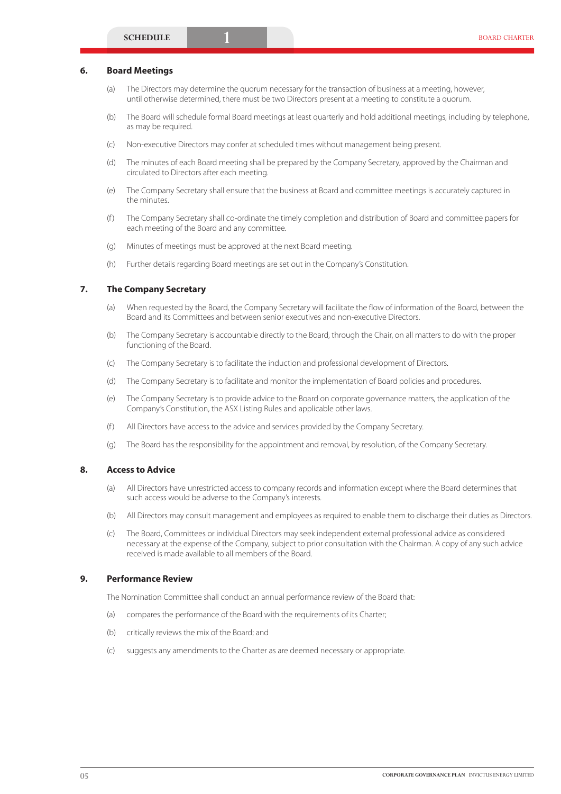#### **6. Board Meetings**

- (a) The Directors may determine the quorum necessary for the transaction of business at a meeting, however, until otherwise determined, there must be two Directors present at a meeting to constitute a quorum.
- (b) The Board will schedule formal Board meetings at least quarterly and hold additional meetings, including by telephone, as may be required.
- (c) Non-executive Directors may confer at scheduled times without management being present.
- (d) The minutes of each Board meeting shall be prepared by the Company Secretary, approved by the Chairman and circulated to Directors after each meeting.
- (e) The Company Secretary shall ensure that the business at Board and committee meetings is accurately captured in the minutes.
- (f ) The Company Secretary shall co-ordinate the timely completion and distribution of Board and committee papers for each meeting of the Board and any committee.
- (g) Minutes of meetings must be approved at the next Board meeting.
- (h) Further details regarding Board meetings are set out in the Company's Constitution.

#### **7. The Company Secretary**

- (a) When requested by the Board, the Company Secretary will facilitate the flow of information of the Board, between the Board and its Committees and between senior executives and non-executive Directors.
- (b) The Company Secretary is accountable directly to the Board, through the Chair, on all matters to do with the proper functioning of the Board.
- (c) The Company Secretary is to facilitate the induction and professional development of Directors.
- (d) The Company Secretary is to facilitate and monitor the implementation of Board policies and procedures.
- (e) The Company Secretary is to provide advice to the Board on corporate governance matters, the application of the Company's Constitution, the ASX Listing Rules and applicable other laws.
- (f ) All Directors have access to the advice and services provided by the Company Secretary.
- (g) The Board has the responsibility for the appointment and removal, by resolution, of the Company Secretary.

### **8. Access to Advice**

- (a) All Directors have unrestricted access to company records and information except where the Board determines that such access would be adverse to the Company's interests.
- (b) All Directors may consult management and employees as required to enable them to discharge their duties as Directors.
- (c) The Board, Committees or individual Directors may seek independent external professional advice as considered necessary at the expense of the Company, subject to prior consultation with the Chairman. A copy of any such advice received is made available to all members of the Board.

#### **9. Performance Review**

The Nomination Committee shall conduct an annual performance review of the Board that:

- (a) compares the performance of the Board with the requirements of its Charter;
- (b) critically reviews the mix of the Board; and
- (c) suggests any amendments to the Charter as are deemed necessary or appropriate.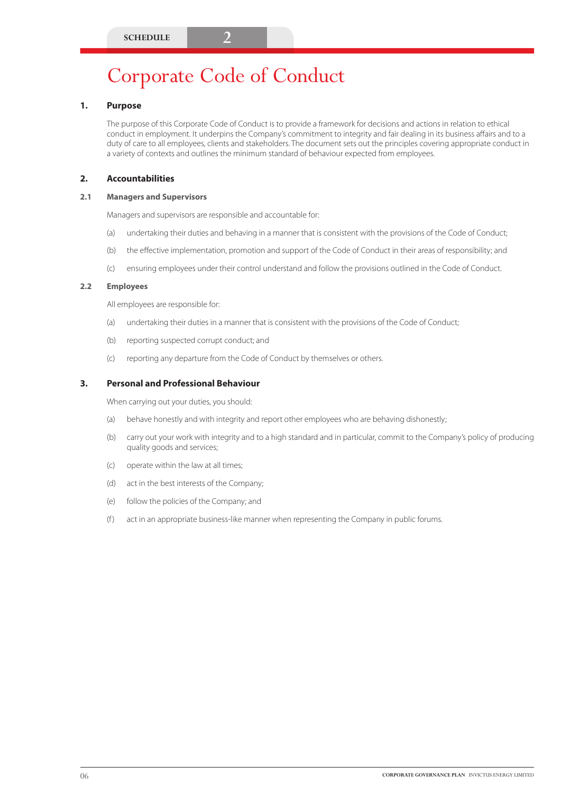# **1. Purpose**

The purpose of this Corporate Code of Conduct is to provide a framework for decisions and actions in relation to ethical conduct in employment. It underpins the Company's commitment to integrity and fair dealing in its business affairs and to a duty of care to all employees, clients and stakeholders. The document sets out the principles covering appropriate conduct in a variety of contexts and outlines the minimum standard of behaviour expected from employees.

# **2. Accountabilities**

#### **2.1 Managers and Supervisors**

Managers and supervisors are responsible and accountable for:

- (a) undertaking their duties and behaving in a manner that is consistent with the provisions of the Code of Conduct;
- (b) the effective implementation, promotion and support of the Code of Conduct in their areas of responsibility; and
- (c) ensuring employees under their control understand and follow the provisions outlined in the Code of Conduct.

#### **2.2 Employees**

All employees are responsible for:

- (a) undertaking their duties in a manner that is consistent with the provisions of the Code of Conduct;
- (b) reporting suspected corrupt conduct; and
- (c) reporting any departure from the Code of Conduct by themselves or others.

#### **3. Personal and Professional Behaviour**

When carrying out your duties, you should:

- (a) behave honestly and with integrity and report other employees who are behaving dishonestly;
- (b) carry out your work with integrity and to a high standard and in particular, commit to the Company's policy of producing quality goods and services;
- (c) operate within the law at all times;
- (d) act in the best interests of the Company;
- (e) follow the policies of the Company; and
- (f) act in an appropriate business-like manner when representing the Company in public forums.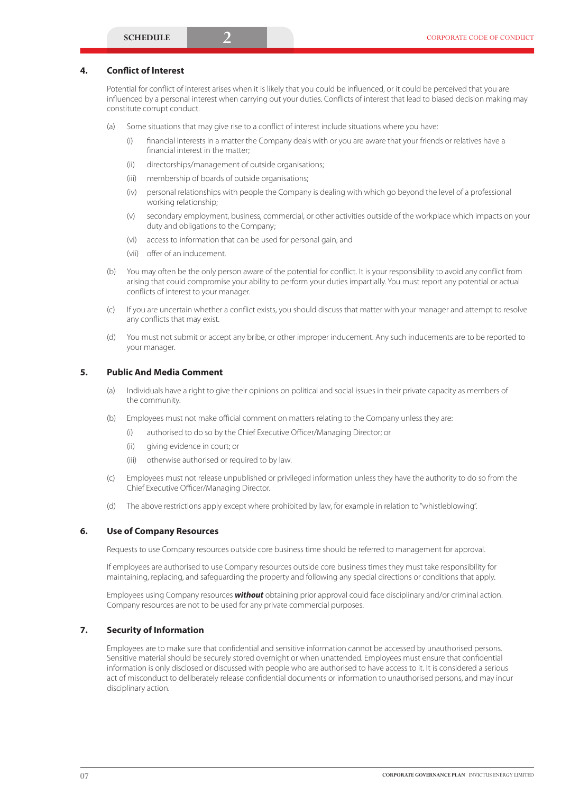# **4. Conflict of Interest**

Potential for conflict of interest arises when it is likely that you could be influenced, or it could be perceived that you are influenced by a personal interest when carrying out your duties. Conflicts of interest that lead to biased decision making may constitute corrupt conduct.

- (a) Some situations that may give rise to a conflict of interest include situations where you have:
	- (i) financial interests in a matter the Company deals with or you are aware that your friends or relatives have a financial interest in the matter;
	- (ii) directorships/management of outside organisations;
	- (iii) membership of boards of outside organisations;
	- (iv) personal relationships with people the Company is dealing with which go beyond the level of a professional working relationship;
	- (v) secondary employment, business, commercial, or other activities outside of the workplace which impacts on your duty and obligations to the Company;
	- (vi) access to information that can be used for personal gain; and
	- (vii) offer of an inducement.
- (b) You may often be the only person aware of the potential for conflict. It is your responsibility to avoid any conflict from arising that could compromise your ability to perform your duties impartially. You must report any potential or actual conflicts of interest to your manager.
- (c) If you are uncertain whether a conflict exists, you should discuss that matter with your manager and attempt to resolve any conflicts that may exist.
- (d) You must not submit or accept any bribe, or other improper inducement. Any such inducements are to be reported to your manager.

#### **5. Public And Media Comment**

- (a) Individuals have a right to give their opinions on political and social issues in their private capacity as members of the community.
- (b) Employees must not make official comment on matters relating to the Company unless they are:
	- (i) authorised to do so by the Chief Executive Officer/Managing Director; or
	- (ii) giving evidence in court; or
	- (iii) otherwise authorised or required to by law.
- (c) Employees must not release unpublished or privileged information unless they have the authority to do so from the Chief Executive Officer/Managing Director.
- (d) The above restrictions apply except where prohibited by law, for example in relation to "whistleblowing".

#### **6. Use of Company Resources**

Requests to use Company resources outside core business time should be referred to management for approval.

If employees are authorised to use Company resources outside core business times they must take responsibility for maintaining, replacing, and safeguarding the property and following any special directions or conditions that apply.

Employees using Company resources *without* obtaining prior approval could face disciplinary and/or criminal action. Company resources are not to be used for any private commercial purposes.

#### **7. Security of Information**

Employees are to make sure that confidential and sensitive information cannot be accessed by unauthorised persons. Sensitive material should be securely stored overnight or when unattended. Employees must ensure that confidential information is only disclosed or discussed with people who are authorised to have access to it. It is considered a serious act of misconduct to deliberately release confidential documents or information to unauthorised persons, and may incur disciplinary action.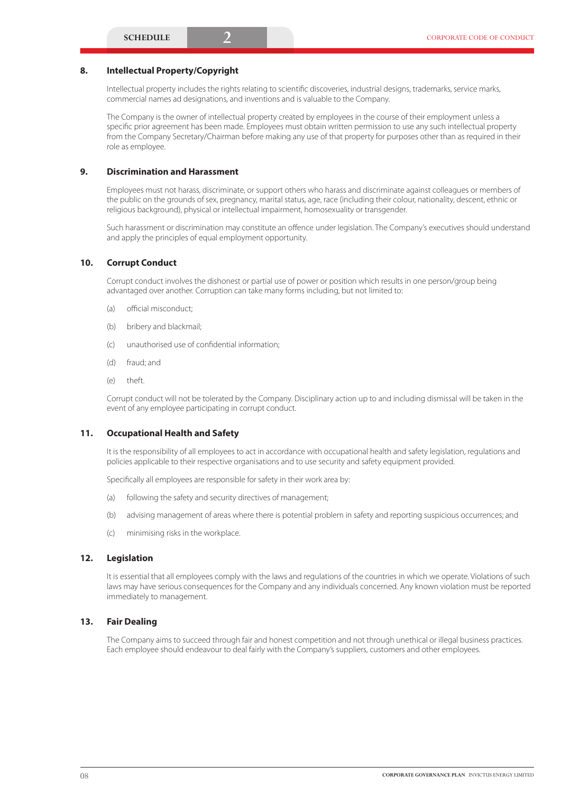### **8. Intellectual Property/Copyright**

Intellectual property includes the rights relating to scientific discoveries, industrial designs, trademarks, service marks, commercial names ad designations, and inventions and is valuable to the Company.

The Company is the owner of intellectual property created by employees in the course of their employment unless a specific prior agreement has been made. Employees must obtain written permission to use any such intellectual property from the Company Secretary/Chairman before making any use of that property for purposes other than as required in their role as employee.

#### **9. Discrimination and Harassment**

Employees must not harass, discriminate, or support others who harass and discriminate against colleagues or members of the public on the grounds of sex, pregnancy, marital status, age, race (including their colour, nationality, descent, ethnic or religious background), physical or intellectual impairment, homosexuality or transgender.

Such harassment or discrimination may constitute an offence under legislation. The Company's executives should understand and apply the principles of equal employment opportunity.

# **10. Corrupt Conduct**

Corrupt conduct involves the dishonest or partial use of power or position which results in one person/group being advantaged over another. Corruption can take many forms including, but not limited to:

- (a) official misconduct;
- (b) bribery and blackmail;
- (c) unauthorised use of confidential information;
- (d) fraud; and
- (e) theft.

Corrupt conduct will not be tolerated by the Company. Disciplinary action up to and including dismissal will be taken in the event of any employee participating in corrupt conduct.

#### **11. Occupational Health and Safety**

It is the responsibility of all employees to act in accordance with occupational health and safety legislation, regulations and policies applicable to their respective organisations and to use security and safety equipment provided.

Specifically all employees are responsible for safety in their work area by:

- (a) following the safety and security directives of management;
- (b) advising management of areas where there is potential problem in safety and reporting suspicious occurrences; and
- (c) minimising risks in the workplace.

#### **12. Legislation**

It is essential that all employees comply with the laws and regulations of the countries in which we operate. Violations of such laws may have serious consequences for the Company and any individuals concerned. Any known violation must be reported immediately to management.

#### **13. Fair Dealing**

The Company aims to succeed through fair and honest competition and not through unethical or illegal business practices. Each employee should endeavour to deal fairly with the Company's suppliers, customers and other employees.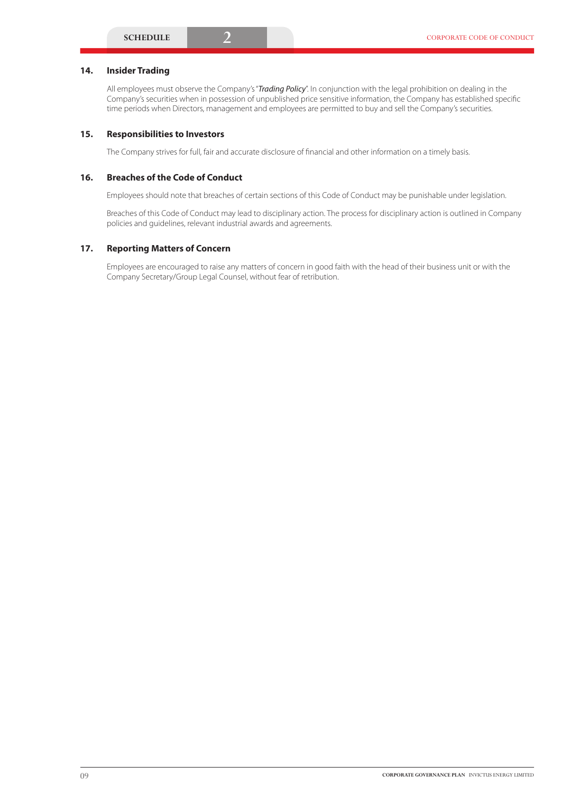# **14. Insider Trading**

All employees must observe the Company's "*Trading Policy*". In conjunction with the legal prohibition on dealing in the Company's securities when in possession of unpublished price sensitive information, the Company has established specific time periods when Directors, management and employees are permitted to buy and sell the Company's securities.

### **15. Responsibilities to Investors**

The Company strives for full, fair and accurate disclosure of financial and other information on a timely basis.

### **16. Breaches of the Code of Conduct**

Employees should note that breaches of certain sections of this Code of Conduct may be punishable under legislation.

Breaches of this Code of Conduct may lead to disciplinary action. The process for disciplinary action is outlined in Company policies and guidelines, relevant industrial awards and agreements.

# **17. Reporting Matters of Concern**

Employees are encouraged to raise any matters of concern in good faith with the head of their business unit or with the Company Secretary/Group Legal Counsel, without fear of retribution.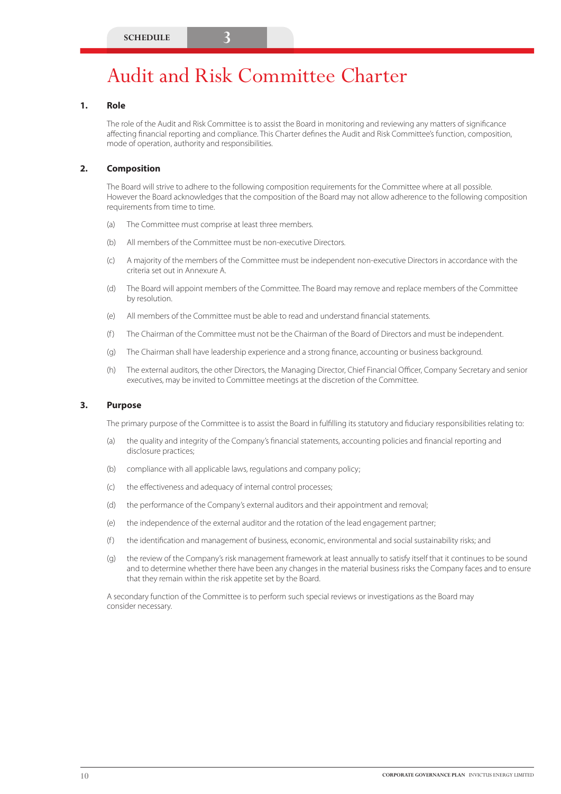# Audit and Risk Committee Charter

#### **1. Role**

The role of the Audit and Risk Committee is to assist the Board in monitoring and reviewing any matters of significance affecting financial reporting and compliance. This Charter defines the Audit and Risk Committee's function, composition, mode of operation, authority and responsibilities.

#### **2. Composition**

The Board will strive to adhere to the following composition requirements for the Committee where at all possible. However the Board acknowledges that the composition of the Board may not allow adherence to the following composition requirements from time to time.

- (a) The Committee must comprise at least three members.
- (b) All members of the Committee must be non-executive Directors.
- (c) A majority of the members of the Committee must be independent non-executive Directors in accordance with the criteria set out in Annexure A.
- (d) The Board will appoint members of the Committee. The Board may remove and replace members of the Committee by resolution.
- (e) All members of the Committee must be able to read and understand financial statements.
- (f ) The Chairman of the Committee must not be the Chairman of the Board of Directors and must be independent.
- (g) The Chairman shall have leadership experience and a strong finance, accounting or business background.
- (h) The external auditors, the other Directors, the Managing Director, Chief Financial Officer, Company Secretary and senior executives, may be invited to Committee meetings at the discretion of the Committee.

#### **3. Purpose**

The primary purpose of the Committee is to assist the Board in fulfilling its statutory and fiduciary responsibilities relating to:

- (a) the quality and integrity of the Company's financial statements, accounting policies and financial reporting and disclosure practices;
- (b) compliance with all applicable laws, regulations and company policy;
- (c) the effectiveness and adequacy of internal control processes;
- (d) the performance of the Company's external auditors and their appointment and removal;
- (e) the independence of the external auditor and the rotation of the lead engagement partner;
- (f ) the identification and management of business, economic, environmental and social sustainability risks; and
- (g) the review of the Company's risk management framework at least annually to satisfy itself that it continues to be sound and to determine whether there have been any changes in the material business risks the Company faces and to ensure that they remain within the risk appetite set by the Board.

A secondary function of the Committee is to perform such special reviews or investigations as the Board may consider necessary.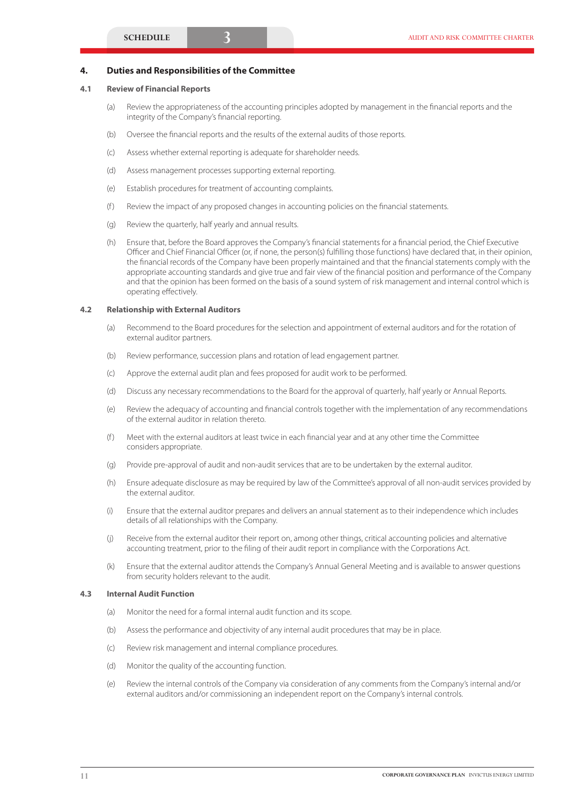#### **4. Duties and Responsibilities of the Committee**

#### **4.1 Review of Financial Reports**

- (a) Review the appropriateness of the accounting principles adopted by management in the financial reports and the integrity of the Company's financial reporting.
- (b) Oversee the financial reports and the results of the external audits of those reports.
- (c) Assess whether external reporting is adequate for shareholder needs.
- (d) Assess management processes supporting external reporting.
- (e) Establish procedures for treatment of accounting complaints.
- (f ) Review the impact of any proposed changes in accounting policies on the financial statements.
- (g) Review the quarterly, half yearly and annual results.
- (h) Ensure that, before the Board approves the Company's financial statements for a financial period, the Chief Executive Officer and Chief Financial Officer (or, if none, the person(s) fulfilling those functions) have declared that, in their opinion, the financial records of the Company have been properly maintained and that the financial statements comply with the appropriate accounting standards and give true and fair view of the financial position and performance of the Company and that the opinion has been formed on the basis of a sound system of risk management and internal control which is operating effectively.

#### **4.2 Relationship with External Auditors**

- (a) Recommend to the Board procedures for the selection and appointment of external auditors and for the rotation of external auditor partners.
- (b) Review performance, succession plans and rotation of lead engagement partner.
- (c) Approve the external audit plan and fees proposed for audit work to be performed.
- (d) Discuss any necessary recommendations to the Board for the approval of quarterly, half yearly or Annual Reports.
- (e) Review the adequacy of accounting and financial controls together with the implementation of any recommendations of the external auditor in relation thereto.
- (f ) Meet with the external auditors at least twice in each financial year and at any other time the Committee considers appropriate.
- (g) Provide pre-approval of audit and non-audit services that are to be undertaken by the external auditor.
- (h) Ensure adequate disclosure as may be required by law of the Committee's approval of all non-audit services provided by the external auditor.
- (i) Ensure that the external auditor prepares and delivers an annual statement as to their independence which includes details of all relationships with the Company.
- (j) Receive from the external auditor their report on, among other things, critical accounting policies and alternative accounting treatment, prior to the filing of their audit report in compliance with the Corporations Act.
- (k) Ensure that the external auditor attends the Company's Annual General Meeting and is available to answer questions from security holders relevant to the audit.

#### **4.3 Internal Audit Function**

- (a) Monitor the need for a formal internal audit function and its scope.
- (b) Assess the performance and objectivity of any internal audit procedures that may be in place.
- (c) Review risk management and internal compliance procedures.
- (d) Monitor the quality of the accounting function.
- (e) Review the internal controls of the Company via consideration of any comments from the Company's internal and/or external auditors and/or commissioning an independent report on the Company's internal controls.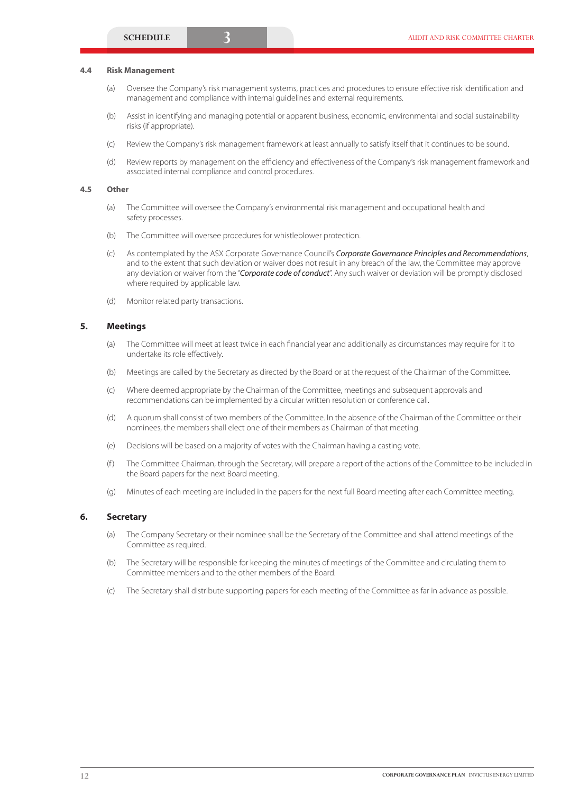#### **4.4 Risk Management**

- (a) Oversee the Company's risk management systems, practices and procedures to ensure effective risk identification and management and compliance with internal guidelines and external requirements.
- (b) Assist in identifying and managing potential or apparent business, economic, environmental and social sustainability risks (if appropriate).
- (c) Review the Company's risk management framework at least annually to satisfy itself that it continues to be sound.
- (d) Review reports by management on the efficiency and effectiveness of the Company's risk management framework and associated internal compliance and control procedures.

#### **4.5 Other**

- (a) The Committee will oversee the Company's environmental risk management and occupational health and safety processes.
- (b) The Committee will oversee procedures for whistleblower protection.
- (c) As contemplated by the ASX Corporate Governance Council's *Corporate Governance Principles and Recommendations*, and to the extent that such deviation or waiver does not result in any breach of the law, the Committee may approve any deviation or waiver from the "*Corporate code of conduct*". Any such waiver or deviation will be promptly disclosed where required by applicable law.
- (d) Monitor related party transactions.

# **5. Meetings**

- (a) The Committee will meet at least twice in each financial year and additionally as circumstances may require for it to undertake its role effectively.
- (b) Meetings are called by the Secretary as directed by the Board or at the request of the Chairman of the Committee.
- (c) Where deemed appropriate by the Chairman of the Committee, meetings and subsequent approvals and recommendations can be implemented by a circular written resolution or conference call.
- (d) A quorum shall consist of two members of the Committee. In the absence of the Chairman of the Committee or their nominees, the members shall elect one of their members as Chairman of that meeting.
- (e) Decisions will be based on a majority of votes with the Chairman having a casting vote.
- (f ) The Committee Chairman, through the Secretary, will prepare a report of the actions of the Committee to be included in the Board papers for the next Board meeting.
- (g) Minutes of each meeting are included in the papers for the next full Board meeting after each Committee meeting.

#### **6. Secretary**

- (a) The Company Secretary or their nominee shall be the Secretary of the Committee and shall attend meetings of the Committee as required.
- (b) The Secretary will be responsible for keeping the minutes of meetings of the Committee and circulating them to Committee members and to the other members of the Board.
- (c) The Secretary shall distribute supporting papers for each meeting of the Committee as far in advance as possible.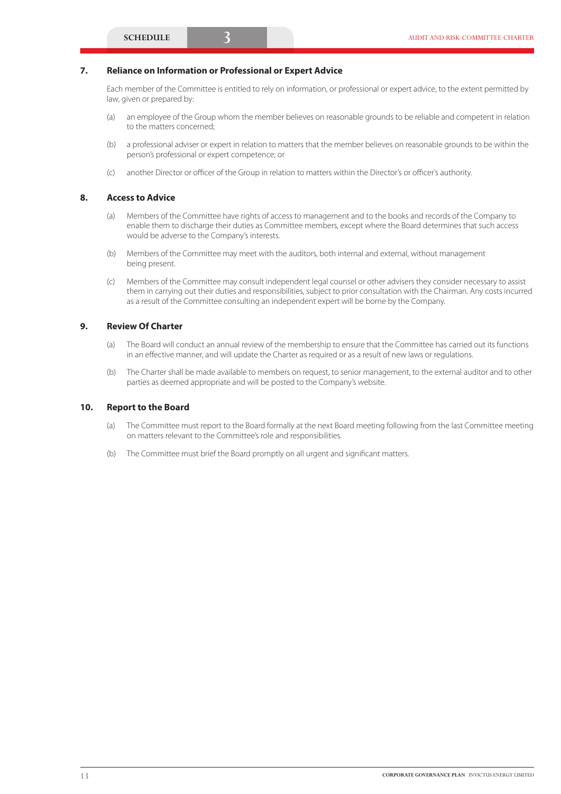# **7. Reliance on Information or Professional or Expert Advice**

Each member of the Committee is entitled to rely on information, or professional or expert advice, to the extent permitted by law, given or prepared by:

- (a) an employee of the Group whom the member believes on reasonable grounds to be reliable and competent in relation to the matters concerned;
- (b) a professional adviser or expert in relation to matters that the member believes on reasonable grounds to be within the person's professional or expert competence; or
- (c) another Director or officer of the Group in relation to matters within the Director's or officer's authority.

#### **8. Access to Advice**

- (a) Members of the Committee have rights of access to management and to the books and records of the Company to enable them to discharge their duties as Committee members, except where the Board determines that such access would be adverse to the Company's interests.
- (b) Members of the Committee may meet with the auditors, both internal and external, without management being present.
- (c) Members of the Committee may consult independent legal counsel or other advisers they consider necessary to assist them in carrying out their duties and responsibilities, subject to prior consultation with the Chairman. Any costs incurred as a result of the Committee consulting an independent expert will be borne by the Company.

# **9. Review Of Charter**

- (a) The Board will conduct an annual review of the membership to ensure that the Committee has carried out its functions in an effective manner, and will update the Charter as required or as a result of new laws or regulations.
- (b) The Charter shall be made available to members on request, to senior management, to the external auditor and to other parties as deemed appropriate and will be posted to the Company's website.

#### **10. Report to the Board**

- (a) The Committee must report to the Board formally at the next Board meeting following from the last Committee meeting on matters relevant to the Committee's role and responsibilities.
- (b) The Committee must brief the Board promptly on all urgent and significant matters.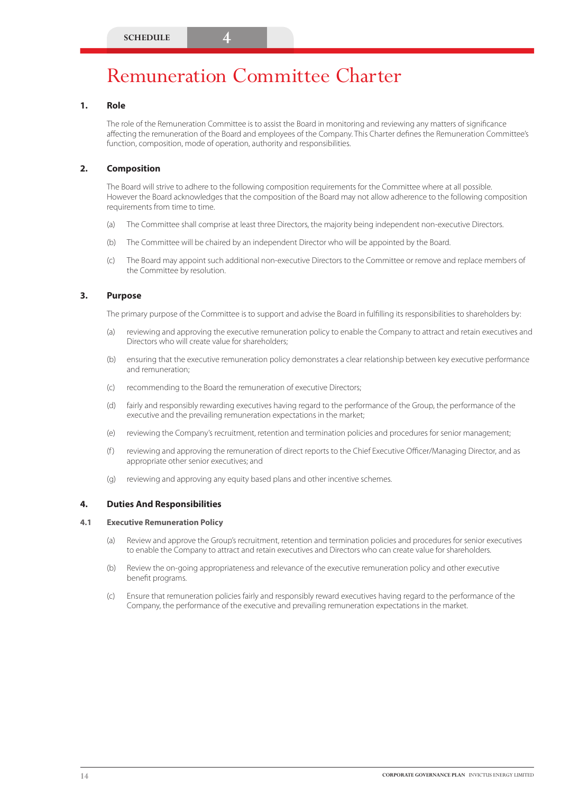# Remuneration Committee Charter

# **1. Role**

The role of the Remuneration Committee is to assist the Board in monitoring and reviewing any matters of significance affecting the remuneration of the Board and employees of the Company. This Charter defines the Remuneration Committee's function, composition, mode of operation, authority and responsibilities.

# **2. Composition**

The Board will strive to adhere to the following composition requirements for the Committee where at all possible. However the Board acknowledges that the composition of the Board may not allow adherence to the following composition requirements from time to time.

- (a) The Committee shall comprise at least three Directors, the majority being independent non-executive Directors.
- (b) The Committee will be chaired by an independent Director who will be appointed by the Board.
- (c) The Board may appoint such additional non-executive Directors to the Committee or remove and replace members of the Committee by resolution.

# **3. Purpose**

The primary purpose of the Committee is to support and advise the Board in fulfilling its responsibilities to shareholders by:

- (a) reviewing and approving the executive remuneration policy to enable the Company to attract and retain executives and Directors who will create value for shareholders;
- (b) ensuring that the executive remuneration policy demonstrates a clear relationship between key executive performance and remuneration;
- (c) recommending to the Board the remuneration of executive Directors;
- (d) fairly and responsibly rewarding executives having regard to the performance of the Group, the performance of the executive and the prevailing remuneration expectations in the market;
- (e) reviewing the Company's recruitment, retention and termination policies and procedures for senior management;
- (f ) reviewing and approving the remuneration of direct reports to the Chief Executive Officer/Managing Director, and as appropriate other senior executives; and
- (g) reviewing and approving any equity based plans and other incentive schemes.

# **4. Duties And Responsibilities**

#### **4.1 Executive Remuneration Policy**

- (a) Review and approve the Group's recruitment, retention and termination policies and procedures for senior executives to enable the Company to attract and retain executives and Directors who can create value for shareholders.
- (b) Review the on-going appropriateness and relevance of the executive remuneration policy and other executive benefit programs.
- (c) Ensure that remuneration policies fairly and responsibly reward executives having regard to the performance of the Company, the performance of the executive and prevailing remuneration expectations in the market.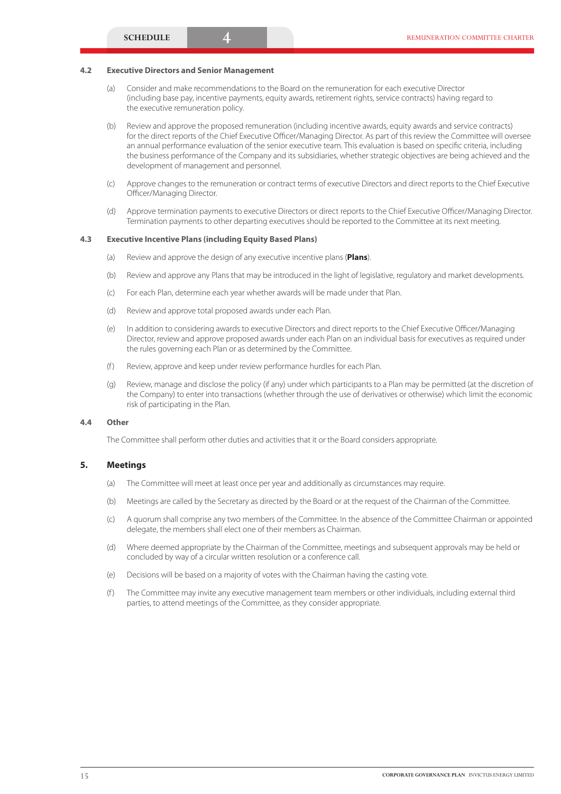#### **4.2 Executive Directors and Senior Management**

- (a) Consider and make recommendations to the Board on the remuneration for each executive Director (including base pay, incentive payments, equity awards, retirement rights, service contracts) having regard to the executive remuneration policy.
- (b) Review and approve the proposed remuneration (including incentive awards, equity awards and service contracts) for the direct reports of the Chief Executive Officer/Managing Director. As part of this review the Committee will oversee an annual performance evaluation of the senior executive team. This evaluation is based on specific criteria, including the business performance of the Company and its subsidiaries, whether strategic objectives are being achieved and the development of management and personnel.
- (c) Approve changes to the remuneration or contract terms of executive Directors and direct reports to the Chief Executive Officer/Managing Director.
- (d) Approve termination payments to executive Directors or direct reports to the Chief Executive Officer/Managing Director. Termination payments to other departing executives should be reported to the Committee at its next meeting.

#### **4.3 Executive Incentive Plans (including Equity Based Plans)**

- (a) Review and approve the design of any executive incentive plans (**Plans**).
- (b) Review and approve any Plans that may be introduced in the light of legislative, regulatory and market developments.
- (c) For each Plan, determine each year whether awards will be made under that Plan.
- (d) Review and approve total proposed awards under each Plan.
- (e) In addition to considering awards to executive Directors and direct reports to the Chief Executive Officer/Managing Director, review and approve proposed awards under each Plan on an individual basis for executives as required under the rules governing each Plan or as determined by the Committee.
- (f) Review, approve and keep under review performance hurdles for each Plan.
- (g) Review, manage and disclose the policy (if any) under which participants to a Plan may be permitted (at the discretion of the Company) to enter into transactions (whether through the use of derivatives or otherwise) which limit the economic risk of participating in the Plan.

#### **4.4 Other**

The Committee shall perform other duties and activities that it or the Board considers appropriate.

#### **5. Meetings**

- (a) The Committee will meet at least once per year and additionally as circumstances may require.
- (b) Meetings are called by the Secretary as directed by the Board or at the request of the Chairman of the Committee.
- (c) A quorum shall comprise any two members of the Committee. In the absence of the Committee Chairman or appointed delegate, the members shall elect one of their members as Chairman.
- (d) Where deemed appropriate by the Chairman of the Committee, meetings and subsequent approvals may be held or concluded by way of a circular written resolution or a conference call.
- (e) Decisions will be based on a majority of votes with the Chairman having the casting vote.
- (f) The Committee may invite any executive management team members or other individuals, including external third parties, to attend meetings of the Committee, as they consider appropriate.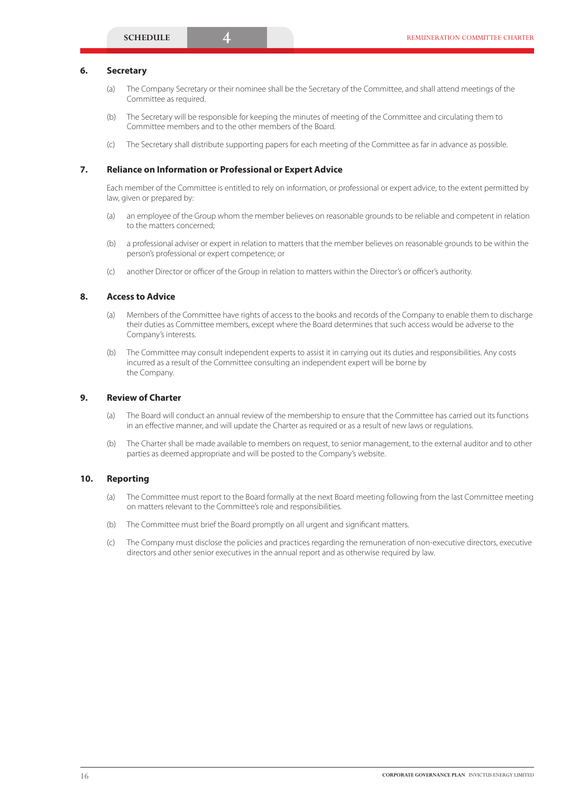#### **6. Secretary**

- (a) The Company Secretary or their nominee shall be the Secretary of the Committee, and shall attend meetings of the Committee as required.
- (b) The Secretary will be responsible for keeping the minutes of meeting of the Committee and circulating them to Committee members and to the other members of the Board.
- (c) The Secretary shall distribute supporting papers for each meeting of the Committee as far in advance as possible.

#### **7. Reliance on Information or Professional or Expert Advice**

Each member of the Committee is entitled to rely on information, or professional or expert advice, to the extent permitted by law, given or prepared by:

- (a) an employee of the Group whom the member believes on reasonable grounds to be reliable and competent in relation to the matters concerned;
- (b) a professional adviser or expert in relation to matters that the member believes on reasonable grounds to be within the person's professional or expert competence; or
- (c) another Director or officer of the Group in relation to matters within the Director's or officer's authority.

### **8. Access to Advice**

- (a) Members of the Committee have rights of access to the books and records of the Company to enable them to discharge their duties as Committee members, except where the Board determines that such access would be adverse to the Company's interests.
- (b) The Committee may consult independent experts to assist it in carrying out its duties and responsibilities. Any costs incurred as a result of the Committee consulting an independent expert will be borne by the Company.

# **9. Review of Charter**

- (a) The Board will conduct an annual review of the membership to ensure that the Committee has carried out its functions in an effective manner, and will update the Charter as required or as a result of new laws or regulations.
- (b) The Charter shall be made available to members on request, to senior management, to the external auditor and to other parties as deemed appropriate and will be posted to the Company's website.

#### **10. Reporting**

- (a) The Committee must report to the Board formally at the next Board meeting following from the last Committee meeting on matters relevant to the Committee's role and responsibilities.
- (b) The Committee must brief the Board promptly on all urgent and significant matters.
- (c) The Company must disclose the policies and practices regarding the remuneration of non-executive directors, executive directors and other senior executives in the annual report and as otherwise required by law.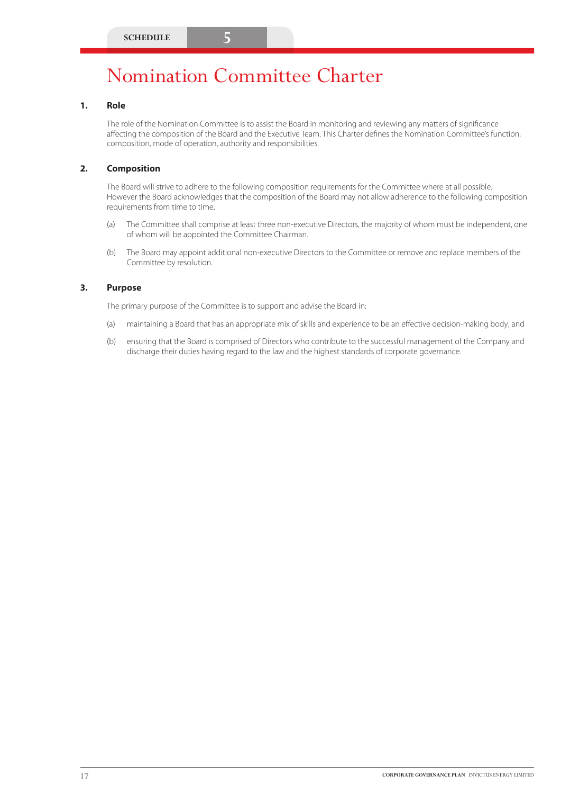# Nomination Committee Charter

# **1. Role**

The role of the Nomination Committee is to assist the Board in monitoring and reviewing any matters of significance affecting the composition of the Board and the Executive Team. This Charter defines the Nomination Committee's function, composition, mode of operation, authority and responsibilities.

# **2. Composition**

The Board will strive to adhere to the following composition requirements for the Committee where at all possible. However the Board acknowledges that the composition of the Board may not allow adherence to the following composition requirements from time to time.

- (a) The Committee shall comprise at least three non-executive Directors, the majority of whom must be independent, one of whom will be appointed the Committee Chairman.
- (b) The Board may appoint additional non-executive Directors to the Committee or remove and replace members of the Committee by resolution.

# **3. Purpose**

The primary purpose of the Committee is to support and advise the Board in:

- (a) maintaining a Board that has an appropriate mix of skills and experience to be an effective decision-making body; and
- (b) ensuring that the Board is comprised of Directors who contribute to the successful management of the Company and discharge their duties having regard to the law and the highest standards of corporate governance.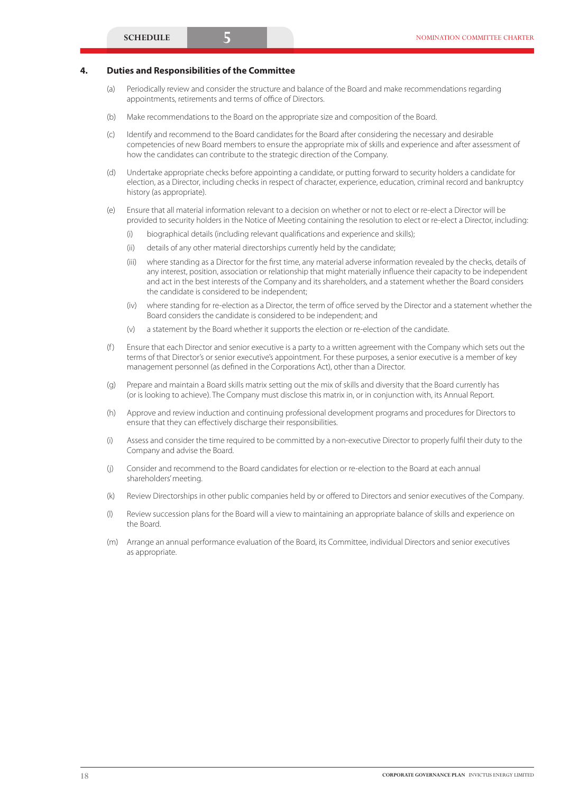# **4. Duties and Responsibilities of the Committee**

- (a) Periodically review and consider the structure and balance of the Board and make recommendations regarding appointments, retirements and terms of office of Directors.
- (b) Make recommendations to the Board on the appropriate size and composition of the Board.
- (c) Identify and recommend to the Board candidates for the Board after considering the necessary and desirable competencies of new Board members to ensure the appropriate mix of skills and experience and after assessment of how the candidates can contribute to the strategic direction of the Company.
- (d) Undertake appropriate checks before appointing a candidate, or putting forward to security holders a candidate for election, as a Director, including checks in respect of character, experience, education, criminal record and bankruptcy history (as appropriate).
- (e) Ensure that all material information relevant to a decision on whether or not to elect or re-elect a Director will be provided to security holders in the Notice of Meeting containing the resolution to elect or re-elect a Director, including:
	- (i) biographical details (including relevant qualifications and experience and skills);
	- (ii) details of any other material directorships currently held by the candidate;
	- (iii) where standing as a Director for the first time, any material adverse information revealed by the checks, details of any interest, position, association or relationship that might materially influence their capacity to be independent and act in the best interests of the Company and its shareholders, and a statement whether the Board considers the candidate is considered to be independent;
	- (iv) where standing for re-election as a Director, the term of office served by the Director and a statement whether the Board considers the candidate is considered to be independent; and
	- (v) a statement by the Board whether it supports the election or re-election of the candidate.
- (f ) Ensure that each Director and senior executive is a party to a written agreement with the Company which sets out the terms of that Director's or senior executive's appointment. For these purposes, a senior executive is a member of key management personnel (as defined in the Corporations Act), other than a Director.
- (g) Prepare and maintain a Board skills matrix setting out the mix of skills and diversity that the Board currently has (or is looking to achieve). The Company must disclose this matrix in, or in conjunction with, its Annual Report.
- (h) Approve and review induction and continuing professional development programs and procedures for Directors to ensure that they can effectively discharge their responsibilities.
- (i) Assess and consider the time required to be committed by a non-executive Director to properly fulfil their duty to the Company and advise the Board.
- (j) Consider and recommend to the Board candidates for election or re-election to the Board at each annual shareholders' meeting.
- (k) Review Directorships in other public companies held by or offered to Directors and senior executives of the Company.
- (l) Review succession plans for the Board will a view to maintaining an appropriate balance of skills and experience on the Board.
- (m) Arrange an annual performance evaluation of the Board, its Committee, individual Directors and senior executives as appropriate.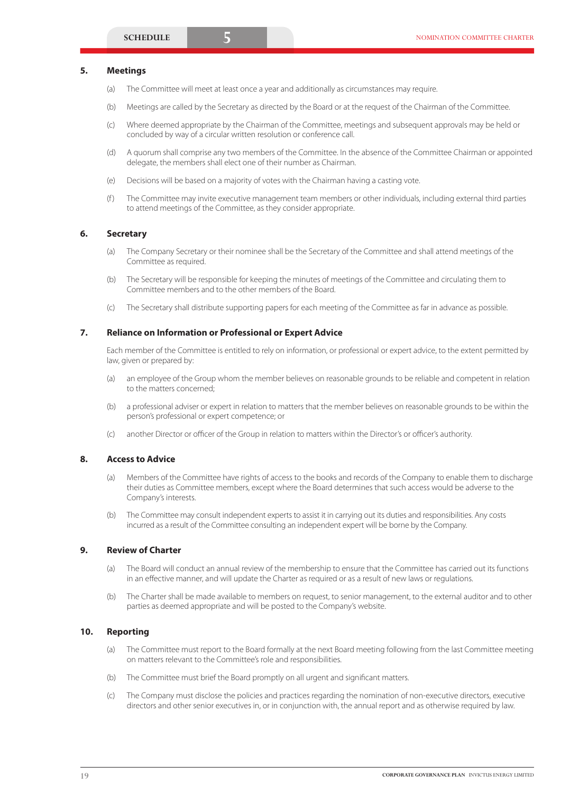#### **5. Meetings**

- (a) The Committee will meet at least once a year and additionally as circumstances may require.
- (b) Meetings are called by the Secretary as directed by the Board or at the request of the Chairman of the Committee.
- (c) Where deemed appropriate by the Chairman of the Committee, meetings and subsequent approvals may be held or concluded by way of a circular written resolution or conference call.
- (d) A quorum shall comprise any two members of the Committee. In the absence of the Committee Chairman or appointed delegate, the members shall elect one of their number as Chairman.
- (e) Decisions will be based on a majority of votes with the Chairman having a casting vote.
- (f ) The Committee may invite executive management team members or other individuals, including external third parties to attend meetings of the Committee, as they consider appropriate.

#### **6. Secretary**

- (a) The Company Secretary or their nominee shall be the Secretary of the Committee and shall attend meetings of the Committee as required.
- (b) The Secretary will be responsible for keeping the minutes of meetings of the Committee and circulating them to Committee members and to the other members of the Board.
- (c) The Secretary shall distribute supporting papers for each meeting of the Committee as far in advance as possible.

#### **7. Reliance on Information or Professional or Expert Advice**

Each member of the Committee is entitled to rely on information, or professional or expert advice, to the extent permitted by law, given or prepared by:

- (a) an employee of the Group whom the member believes on reasonable grounds to be reliable and competent in relation to the matters concerned;
- (b) a professional adviser or expert in relation to matters that the member believes on reasonable grounds to be within the person's professional or expert competence; or
- (c) another Director or officer of the Group in relation to matters within the Director's or officer's authority.

#### **8. Access to Advice**

- (a) Members of the Committee have rights of access to the books and records of the Company to enable them to discharge their duties as Committee members, except where the Board determines that such access would be adverse to the Company's interests.
- (b) The Committee may consult independent experts to assist it in carrying out its duties and responsibilities. Any costs incurred as a result of the Committee consulting an independent expert will be borne by the Company.

### **9. Review of Charter**

- (a) The Board will conduct an annual review of the membership to ensure that the Committee has carried out its functions in an effective manner, and will update the Charter as required or as a result of new laws or regulations.
- (b) The Charter shall be made available to members on request, to senior management, to the external auditor and to other parties as deemed appropriate and will be posted to the Company's website.

#### **10. Reporting**

- (a) The Committee must report to the Board formally at the next Board meeting following from the last Committee meeting on matters relevant to the Committee's role and responsibilities.
- (b) The Committee must brief the Board promptly on all urgent and significant matters.
- (c) The Company must disclose the policies and practices regarding the nomination of non-executive directors, executive directors and other senior executives in, or in conjunction with, the annual report and as otherwise required by law.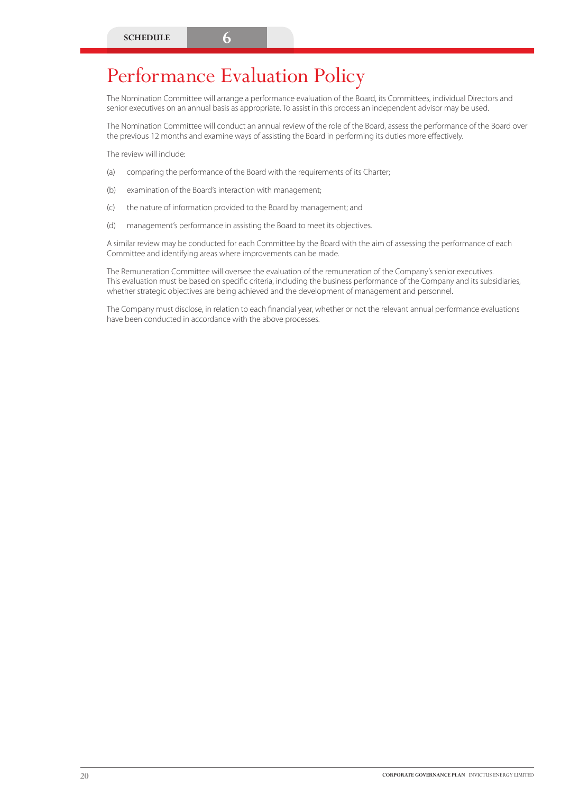# Performance Evaluation Policy

The Nomination Committee will arrange a performance evaluation of the Board, its Committees, individual Directors and senior executives on an annual basis as appropriate. To assist in this process an independent advisor may be used.

The Nomination Committee will conduct an annual review of the role of the Board, assess the performance of the Board over the previous 12 months and examine ways of assisting the Board in performing its duties more effectively.

The review will include:

- (a) comparing the performance of the Board with the requirements of its Charter;
- (b) examination of the Board's interaction with management;
- (c) the nature of information provided to the Board by management; and
- (d) management's performance in assisting the Board to meet its objectives.

A similar review may be conducted for each Committee by the Board with the aim of assessing the performance of each Committee and identifying areas where improvements can be made.

The Remuneration Committee will oversee the evaluation of the remuneration of the Company's senior executives. This evaluation must be based on specific criteria, including the business performance of the Company and its subsidiaries, whether strategic objectives are being achieved and the development of management and personnel.

The Company must disclose, in relation to each financial year, whether or not the relevant annual performance evaluations have been conducted in accordance with the above processes.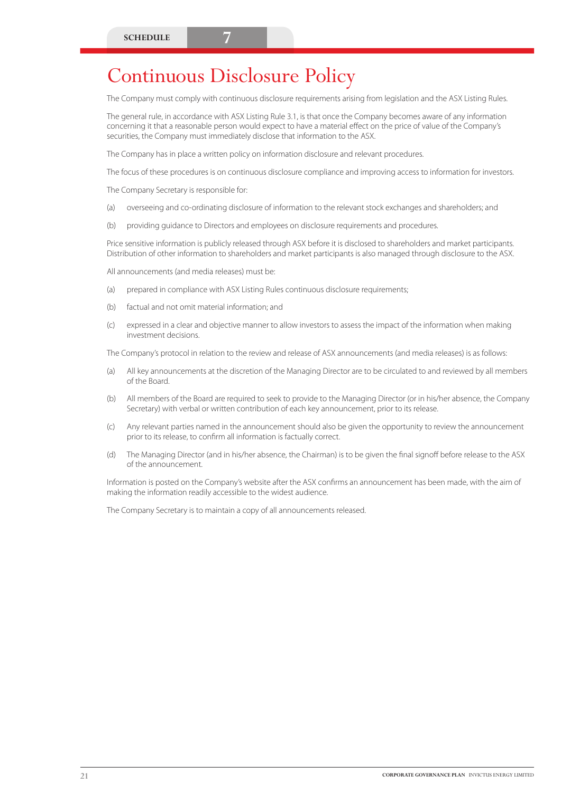The Company must comply with continuous disclosure requirements arising from legislation and the ASX Listing Rules.

The general rule, in accordance with ASX Listing Rule 3.1, is that once the Company becomes aware of any information concerning it that a reasonable person would expect to have a material effect on the price of value of the Company's securities, the Company must immediately disclose that information to the ASX.

The Company has in place a written policy on information disclosure and relevant procedures.

The focus of these procedures is on continuous disclosure compliance and improving access to information for investors.

The Company Secretary is responsible for:

- (a) overseeing and co-ordinating disclosure of information to the relevant stock exchanges and shareholders; and
- (b) providing guidance to Directors and employees on disclosure requirements and procedures.

Price sensitive information is publicly released through ASX before it is disclosed to shareholders and market participants. Distribution of other information to shareholders and market participants is also managed through disclosure to the ASX.

All announcements (and media releases) must be:

- (a) prepared in compliance with ASX Listing Rules continuous disclosure requirements;
- (b) factual and not omit material information; and
- (c) expressed in a clear and objective manner to allow investors to assess the impact of the information when making investment decisions.

The Company's protocol in relation to the review and release of ASX announcements (and media releases) is as follows:

- (a) All key announcements at the discretion of the Managing Director are to be circulated to and reviewed by all members of the Board.
- (b) All members of the Board are required to seek to provide to the Managing Director (or in his/her absence, the Company Secretary) with verbal or written contribution of each key announcement, prior to its release.
- (c) Any relevant parties named in the announcement should also be given the opportunity to review the announcement prior to its release, to confirm all information is factually correct.
- (d) The Managing Director (and in his/her absence, the Chairman) is to be given the final signoff before release to the ASX of the announcement.

Information is posted on the Company's website after the ASX confirms an announcement has been made, with the aim of making the information readily accessible to the widest audience.

The Company Secretary is to maintain a copy of all announcements released.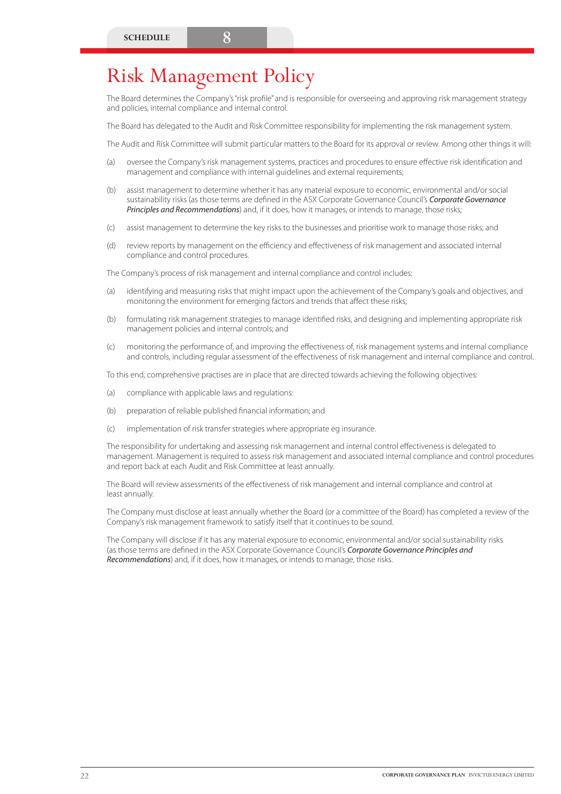# Risk Management Policy

The Board determines the Company's "risk profile" and is responsible for overseeing and approving risk management strategy and policies, internal compliance and internal control.

The Board has delegated to the Audit and Risk Committee responsibility for implementing the risk management system.

The Audit and Risk Committee will submit particular matters to the Board for its approval or review. Among other things it will:

- (a) oversee the Company's risk management systems, practices and procedures to ensure effective risk identification and management and compliance with internal guidelines and external requirements;
- (b) assist management to determine whether it has any material exposure to economic, environmental and/or social sustainability risks (as those terms are defined in the ASX Corporate Governance Council's *Corporate Governance Principles and Recommendations*) and, if it does, how it manages, or intends to manage, those risks;
- (c) assist management to determine the key risks to the businesses and prioritise work to manage those risks; and
- (d) review reports by management on the efficiency and effectiveness of risk management and associated internal compliance and control procedures.

The Company's process of risk management and internal compliance and control includes:

- (a) identifying and measuring risks that might impact upon the achievement of the Company's goals and objectives, and monitoring the environment for emerging factors and trends that affect these risks;
- (b) formulating risk management strategies to manage identified risks, and designing and implementing appropriate risk management policies and internal controls; and
- (c) monitoring the performance of, and improving the effectiveness of, risk management systems and internal compliance and controls, including regular assessment of the effectiveness of risk management and internal compliance and control.

To this end, comprehensive practises are in place that are directed towards achieving the following objectives:

- (a) compliance with applicable laws and regulations:
- (b) preparation of reliable published financial information; and
- (c) implementation of risk transfer strategies where appropriate eg insurance.

The responsibility for undertaking and assessing risk management and internal control effectiveness is delegated to management. Management is required to assess risk management and associated internal compliance and control procedures and report back at each Audit and Risk Committee at least annually.

The Board will review assessments of the effectiveness of risk management and internal compliance and control at least annually.

The Company must disclose at least annually whether the Board (or a committee of the Board) has completed a review of the Company's risk management framework to satisfy itself that it continues to be sound.

The Company will disclose if it has any material exposure to economic, environmental and/or social sustainability risks (as those terms are defined in the ASX Corporate Governance Council's *Corporate Governance Principles and Recommendations*) and, if it does, how it manages, or intends to manage, those risks.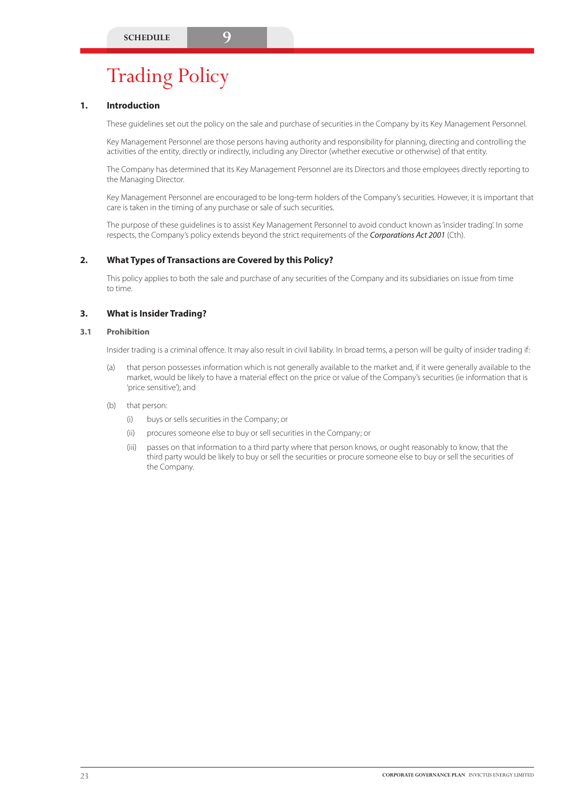# Trading Policy

# **1. Introduction**

These guidelines set out the policy on the sale and purchase of securities in the Company by its Key Management Personnel.

Key Management Personnel are those persons having authority and responsibility for planning, directing and controlling the activities of the entity, directly or indirectly, including any Director (whether executive or otherwise) of that entity.

The Company has determined that its Key Management Personnel are its Directors and those employees directly reporting to the Managing Director.

Key Management Personnel are encouraged to be long-term holders of the Company's securities. However, it is important that care is taken in the timing of any purchase or sale of such securities.

The purpose of these guidelines is to assist Key Management Personnel to avoid conduct known as 'insider trading'. In some respects, the Company's policy extends beyond the strict requirements of the *Corporations Act 2001* (Cth).

# **2. What Types of Transactions are Covered by this Policy?**

This policy applies to both the sale and purchase of any securities of the Company and its subsidiaries on issue from time to time.

# **3. What is Insider Trading?**

#### **3.1 Prohibition**

Insider trading is a criminal offence. It may also result in civil liability. In broad terms, a person will be guilty of insider trading if:

- (a) that person possesses information which is not generally available to the market and, if it were generally available to the market, would be likely to have a material effect on the price or value of the Company's securities (ie information that is 'price sensitive'); and
- (b) that person:
	- (i) buys or sells securities in the Company; or
	- (ii) procures someone else to buy or sell securities in the Company; or
	- (iii) passes on that information to a third party where that person knows, or ought reasonably to know, that the third party would be likely to buy or sell the securities or procure someone else to buy or sell the securities of the Company.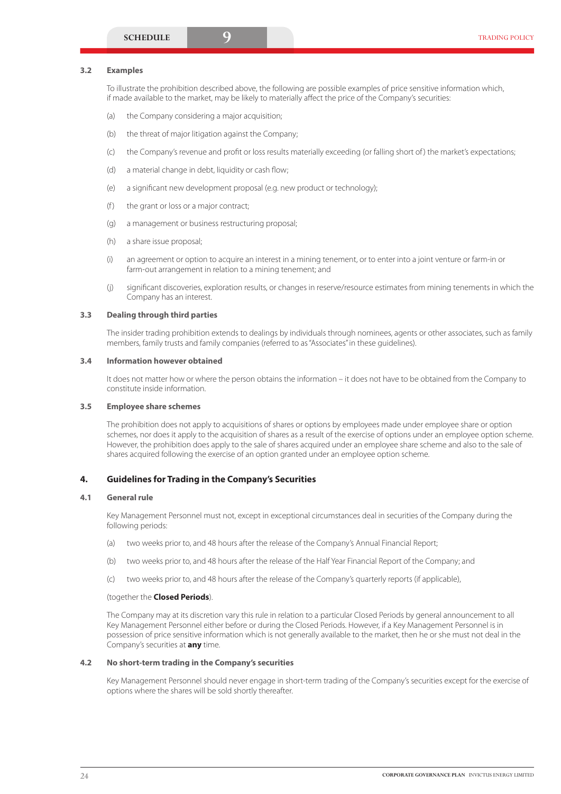### **3.2 Examples**

To illustrate the prohibition described above, the following are possible examples of price sensitive information which, if made available to the market, may be likely to materially affect the price of the Company's securities:

- (a) the Company considering a major acquisition;
- (b) the threat of major litigation against the Company;
- (c) the Company's revenue and profit or loss results materially exceeding (or falling short of ) the market's expectations;
- (d) a material change in debt, liquidity or cash flow:
- (e) a significant new development proposal (e.g. new product or technology);
- $(f)$  the grant or loss or a major contract;
- (g) a management or business restructuring proposal;
- (h) a share issue proposal;
- (i) an agreement or option to acquire an interest in a mining tenement, or to enter into a joint venture or farm-in or farm-out arrangement in relation to a mining tenement; and
- (j) significant discoveries, exploration results, or changes in reserve/resource estimates from mining tenements in which the Company has an interest.

# **3.3 Dealing through third parties**

The insider trading prohibition extends to dealings by individuals through nominees, agents or other associates, such as family members, family trusts and family companies (referred to as "Associates" in these guidelines).

# **3.4 Information however obtained**

It does not matter how or where the person obtains the information – it does not have to be obtained from the Company to constitute inside information.

# **3.5 Employee share schemes**

The prohibition does not apply to acquisitions of shares or options by employees made under employee share or option schemes, nor does it apply to the acquisition of shares as a result of the exercise of options under an employee option scheme. However, the prohibition does apply to the sale of shares acquired under an employee share scheme and also to the sale of shares acquired following the exercise of an option granted under an employee option scheme.

# **4. Guidelines for Trading in the Company's Securities**

# **4.1 General rule**

Key Management Personnel must not, except in exceptional circumstances deal in securities of the Company during the following periods:

- (a) two weeks prior to, and 48 hours after the release of the Company's Annual Financial Report;
- (b) two weeks prior to, and 48 hours after the release of the Half Year Financial Report of the Company; and
- (c) two weeks prior to, and 48 hours after the release of the Company's quarterly reports (if applicable),

# (together the **Closed Periods**).

The Company may at its discretion vary this rule in relation to a particular Closed Periods by general announcement to all Key Management Personnel either before or during the Closed Periods. However, if a Key Management Personnel is in possession of price sensitive information which is not generally available to the market, then he or she must not deal in the Company's securities at **any** time.

# **4.2 No short-term trading in the Company's securities**

Key Management Personnel should never engage in short-term trading of the Company's securities except for the exercise of options where the shares will be sold shortly thereafter.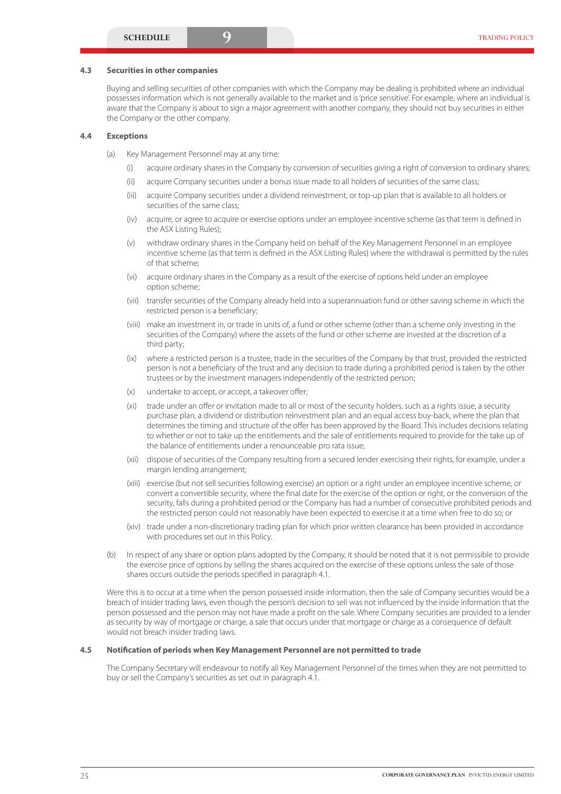#### **4.3 Securities in other companies**

Buying and selling securities of other companies with which the Company may be dealing is prohibited where an individual possesses information which is not generally available to the market and is 'price sensitive'. For example, where an individual is aware that the Company is about to sign a major agreement with another company, they should not buy securities in either the Company or the other company.

#### **4.4 Exceptions**

- (a) Key Management Personnel may at any time:
	- (i) acquire ordinary shares in the Company by conversion of securities giving a right of conversion to ordinary shares;
	- (ii) acquire Company securities under a bonus issue made to all holders of securities of the same class;
	- (iii) acquire Company securities under a dividend reinvestment, or top-up plan that is available to all holders or securities of the same class;
	- (iv) acquire, or agree to acquire or exercise options under an employee incentive scheme (as that term is defined in the ASX Listing Rules);
	- (v) withdraw ordinary shares in the Company held on behalf of the Key Management Personnel in an employee incentive scheme (as that term is defined in the ASX Listing Rules) where the withdrawal is permitted by the rules of that scheme;
	- (vi) acquire ordinary shares in the Company as a result of the exercise of options held under an employee option scheme;
	- (vii) transfer securities of the Company already held into a superannuation fund or other saving scheme in which the restricted person is a beneficiary;
	- (viii) make an investment in, or trade in units of, a fund or other scheme (other than a scheme only investing in the securities of the Company) where the assets of the fund or other scheme are invested at the discretion of a third party;
	- (ix) where a restricted person is a trustee, trade in the securities of the Company by that trust, provided the restricted person is not a beneficiary of the trust and any decision to trade during a prohibited period is taken by the other trustees or by the investment managers independently of the restricted person;
	- (x) undertake to accept, or accept, a takeover offer;
	- (xi) trade under an offer or invitation made to all or most of the security holders, such as a rights issue, a security purchase plan, a dividend or distribution reinvestment plan and an equal access buy-back, where the plan that determines the timing and structure of the offer has been approved by the Board. This includes decisions relating to whether or not to take up the entitlements and the sale of entitlements required to provide for the take up of the balance of entitlements under a renounceable pro rata issue;
	- (xii) dispose of securities of the Company resulting from a secured lender exercising their rights, for example, under a margin lending arrangement;
	- (xiii) exercise (but not sell securities following exercise) an option or a right under an employee incentive scheme, or convert a convertible security, where the final date for the exercise of the option or right, or the conversion of the security, falls during a prohibited period or the Company has had a number of consecutive prohibited periods and the restricted person could not reasonably have been expected to exercise it at a time when free to do so; or
	- (xiv) trade under a non-discretionary trading plan for which prior written clearance has been provided in accordance with procedures set out in this Policy.
- (b) In respect of any share or option plans adopted by the Company, it should be noted that it is not permissible to provide the exercise price of options by selling the shares acquired on the exercise of these options unless the sale of those shares occurs outside the periods specified in paragraph 4.1.

Were this is to occur at a time when the person possessed inside information, then the sale of Company securities would be a breach of insider trading laws, even though the person's decision to sell was not influenced by the inside information that the person possessed and the person may not have made a profit on the sale. Where Company securities are provided to a lender as security by way of mortgage or charge, a sale that occurs under that mortgage or charge as a consequence of default would not breach insider trading laws.

#### **4.5 Notification of periods when Key Management Personnel are not permitted to trade**

The Company Secretary will endeavour to notify all Key Management Personnel of the times when they are not permitted to buy or sell the Company's securities as set out in paragraph 4.1.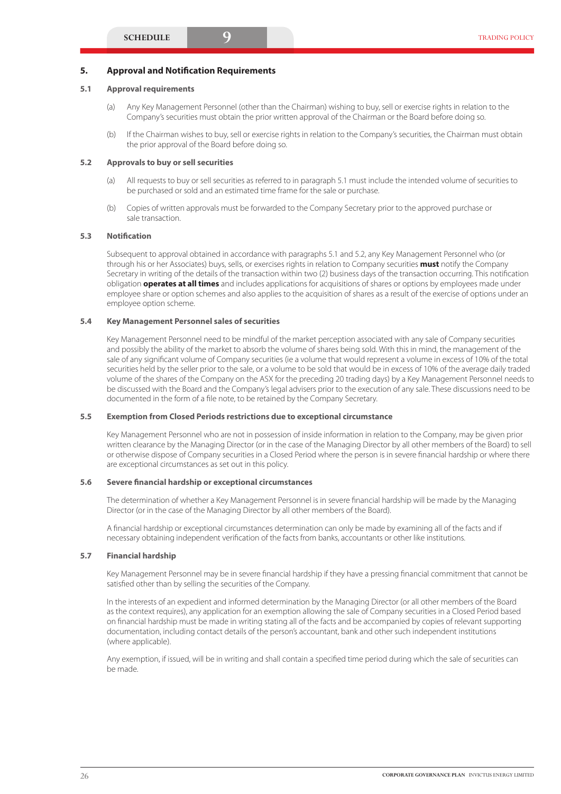#### **5. Approval and Notification Requirements**

#### **5.1 Approval requirements**

- (a) Any Key Management Personnel (other than the Chairman) wishing to buy, sell or exercise rights in relation to the Company's securities must obtain the prior written approval of the Chairman or the Board before doing so.
- (b) If the Chairman wishes to buy, sell or exercise rights in relation to the Company's securities, the Chairman must obtain the prior approval of the Board before doing so.

#### **5.2 Approvals to buy or sell securities**

- (a) All requests to buy or sell securities as referred to in paragraph 5.1 must include the intended volume of securities to be purchased or sold and an estimated time frame for the sale or purchase.
- (b) Copies of written approvals must be forwarded to the Company Secretary prior to the approved purchase or sale transaction.

#### **5.3 Notification**

Subsequent to approval obtained in accordance with paragraphs 5.1 and 5.2, any Key Management Personnel who (or through his or her Associates) buys, sells, or exercises rights in relation to Company securities **must** notify the Company Secretary in writing of the details of the transaction within two (2) business days of the transaction occurring. This notification obligation **operates at all times** and includes applications for acquisitions of shares or options by employees made under employee share or option schemes and also applies to the acquisition of shares as a result of the exercise of options under an employee option scheme.

#### **5.4 Key Management Personnel sales of securities**

Key Management Personnel need to be mindful of the market perception associated with any sale of Company securities and possibly the ability of the market to absorb the volume of shares being sold. With this in mind, the management of the sale of any significant volume of Company securities (ie a volume that would represent a volume in excess of 10% of the total securities held by the seller prior to the sale, or a volume to be sold that would be in excess of 10% of the average daily traded volume of the shares of the Company on the ASX for the preceding 20 trading days) by a Key Management Personnel needs to be discussed with the Board and the Company's legal advisers prior to the execution of any sale. These discussions need to be documented in the form of a file note, to be retained by the Company Secretary.

#### **5.5 Exemption from Closed Periods restrictions due to exceptional circumstance**

Key Management Personnel who are not in possession of inside information in relation to the Company, may be given prior written clearance by the Managing Director (or in the case of the Managing Director by all other members of the Board) to sell or otherwise dispose of Company securities in a Closed Period where the person is in severe financial hardship or where there are exceptional circumstances as set out in this policy.

#### **5.6 Severe financial hardship or exceptional circumstances**

The determination of whether a Key Management Personnel is in severe financial hardship will be made by the Managing Director (or in the case of the Managing Director by all other members of the Board).

A financial hardship or exceptional circumstances determination can only be made by examining all of the facts and if necessary obtaining independent verification of the facts from banks, accountants or other like institutions.

#### **5.7 Financial hardship**

Key Management Personnel may be in severe financial hardship if they have a pressing financial commitment that cannot be satisfied other than by selling the securities of the Company.

In the interests of an expedient and informed determination by the Managing Director (or all other members of the Board as the context requires), any application for an exemption allowing the sale of Company securities in a Closed Period based on financial hardship must be made in writing stating all of the facts and be accompanied by copies of relevant supporting documentation, including contact details of the person's accountant, bank and other such independent institutions (where applicable).

Any exemption, if issued, will be in writing and shall contain a specified time period during which the sale of securities can be made.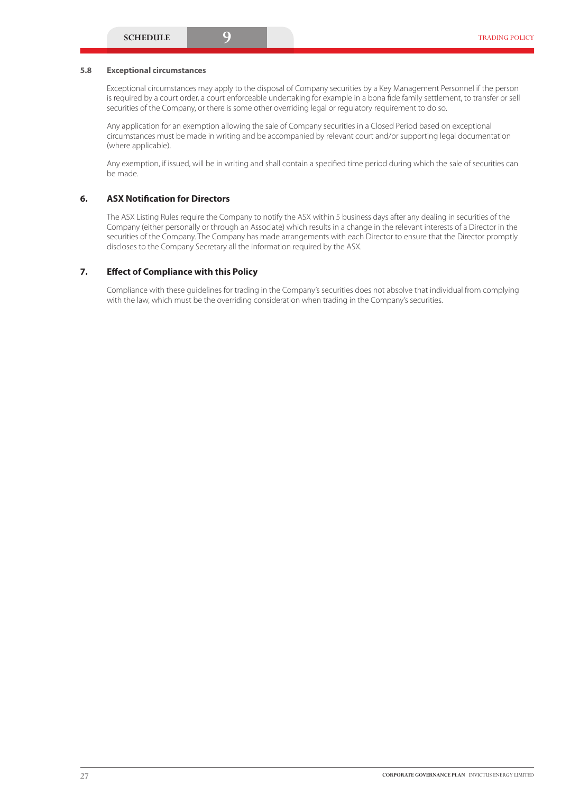#### **5.8 Exceptional circumstances**

Exceptional circumstances may apply to the disposal of Company securities by a Key Management Personnel if the person is required by a court order, a court enforceable undertaking for example in a bona fide family settlement, to transfer or sell securities of the Company, or there is some other overriding legal or regulatory requirement to do so.

Any application for an exemption allowing the sale of Company securities in a Closed Period based on exceptional circumstances must be made in writing and be accompanied by relevant court and/or supporting legal documentation (where applicable).

Any exemption, if issued, will be in writing and shall contain a specified time period during which the sale of securities can be made.

### **6. ASX Notification for Directors**

The ASX Listing Rules require the Company to notify the ASX within 5 business days after any dealing in securities of the Company (either personally or through an Associate) which results in a change in the relevant interests of a Director in the securities of the Company. The Company has made arrangements with each Director to ensure that the Director promptly discloses to the Company Secretary all the information required by the ASX.

#### **7. Effect of Compliance with this Policy**

Compliance with these guidelines for trading in the Company's securities does not absolve that individual from complying with the law, which must be the overriding consideration when trading in the Company's securities.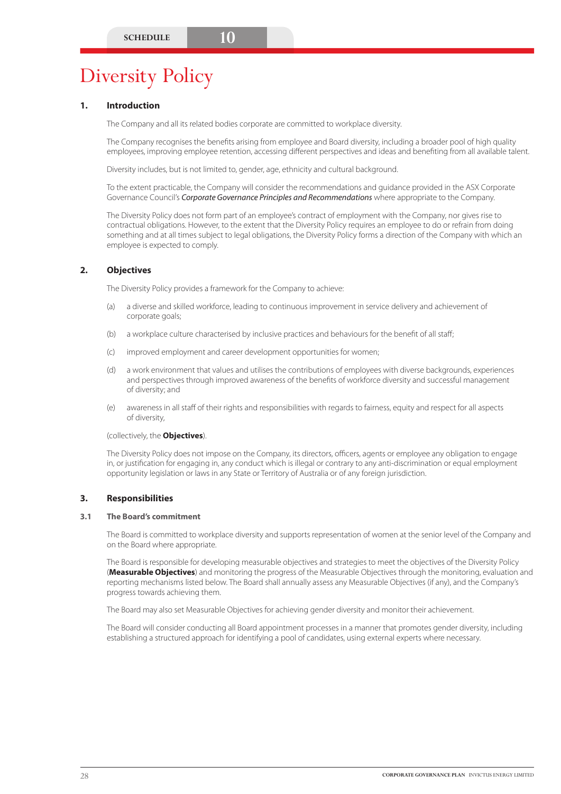# Diversity Policy

# **1. Introduction**

The Company and all its related bodies corporate are committed to workplace diversity.

The Company recognises the benefits arising from employee and Board diversity, including a broader pool of high quality employees, improving employee retention, accessing different perspectives and ideas and benefiting from all available talent.

Diversity includes, but is not limited to, gender, age, ethnicity and cultural background.

To the extent practicable, the Company will consider the recommendations and guidance provided in the ASX Corporate Governance Council's *Corporate Governance Principles and Recommendations* where appropriate to the Company.

The Diversity Policy does not form part of an employee's contract of employment with the Company, nor gives rise to contractual obligations. However, to the extent that the Diversity Policy requires an employee to do or refrain from doing something and at all times subject to legal obligations, the Diversity Policy forms a direction of the Company with which an employee is expected to comply.

# **2. Objectives**

The Diversity Policy provides a framework for the Company to achieve:

- (a) a diverse and skilled workforce, leading to continuous improvement in service delivery and achievement of corporate goals;
- (b) a workplace culture characterised by inclusive practices and behaviours for the benefit of all staff;
- (c) improved employment and career development opportunities for women;
- (d) a work environment that values and utilises the contributions of employees with diverse backgrounds, experiences and perspectives through improved awareness of the benefits of workforce diversity and successful management of diversity; and
- (e) awareness in all staff of their rights and responsibilities with regards to fairness, equity and respect for all aspects of diversity,

(collectively, the **Objectives**).

The Diversity Policy does not impose on the Company, its directors, officers, agents or employee any obligation to engage in, or justification for engaging in, any conduct which is illegal or contrary to any anti-discrimination or equal employment opportunity legislation or laws in any State or Territory of Australia or of any foreign jurisdiction.

# **3. Responsibilities**

### **3.1 The Board's commitment**

The Board is committed to workplace diversity and supports representation of women at the senior level of the Company and on the Board where appropriate.

The Board is responsible for developing measurable objectives and strategies to meet the objectives of the Diversity Policy (**Measurable Objectives**) and monitoring the progress of the Measurable Objectives through the monitoring, evaluation and reporting mechanisms listed below. The Board shall annually assess any Measurable Objectives (if any), and the Company's progress towards achieving them.

The Board may also set Measurable Objectives for achieving gender diversity and monitor their achievement.

The Board will consider conducting all Board appointment processes in a manner that promotes gender diversity, including establishing a structured approach for identifying a pool of candidates, using external experts where necessary.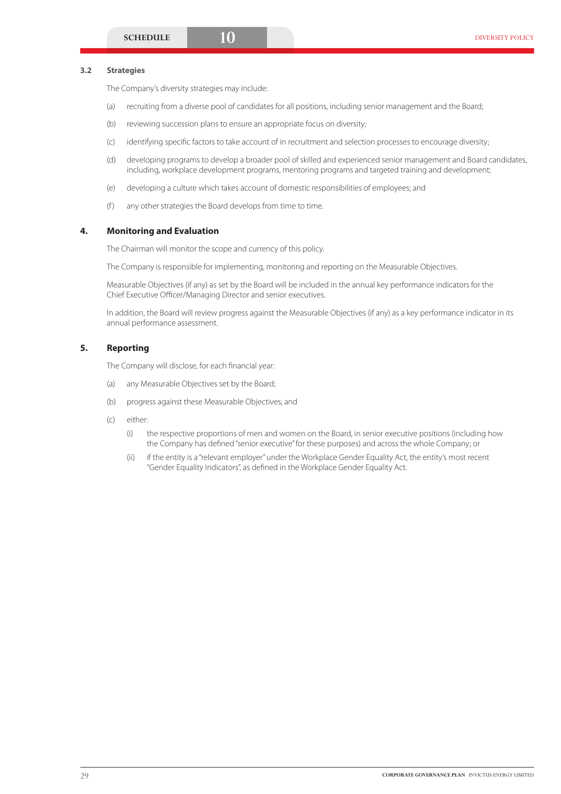#### **3.2 Strategies**

The Company's diversity strategies may include:

- (a) recruiting from a diverse pool of candidates for all positions, including senior management and the Board;
- (b) reviewing succession plans to ensure an appropriate focus on diversity;
- (c) identifying specific factors to take account of in recruitment and selection processes to encourage diversity;
- (d) developing programs to develop a broader pool of skilled and experienced senior management and Board candidates, including, workplace development programs, mentoring programs and targeted training and development;
- (e) developing a culture which takes account of domestic responsibilities of employees; and
- (f) any other strategies the Board develops from time to time.

#### **4. Monitoring and Evaluation**

The Chairman will monitor the scope and currency of this policy.

The Company is responsible for implementing, monitoring and reporting on the Measurable Objectives.

Measurable Objectives (if any) as set by the Board will be included in the annual key performance indicators for the Chief Executive Officer/Managing Director and senior executives.

In addition, the Board will review progress against the Measurable Objectives (if any) as a key performance indicator in its annual performance assessment.

# **5. Reporting**

The Company will disclose, for each financial year:

- (a) any Measurable Objectives set by the Board;
- (b) progress against these Measurable Objectives; and
- (c) either:
	- (i) the respective proportions of men and women on the Board, in senior executive positions (including how the Company has defined "senior executive" for these purposes) and across the whole Company; or
	- (ii) if the entity is a "relevant employer" under the Workplace Gender Equality Act, the entity's most recent "Gender Equality Indicators", as defined in the Workplace Gender Equality Act.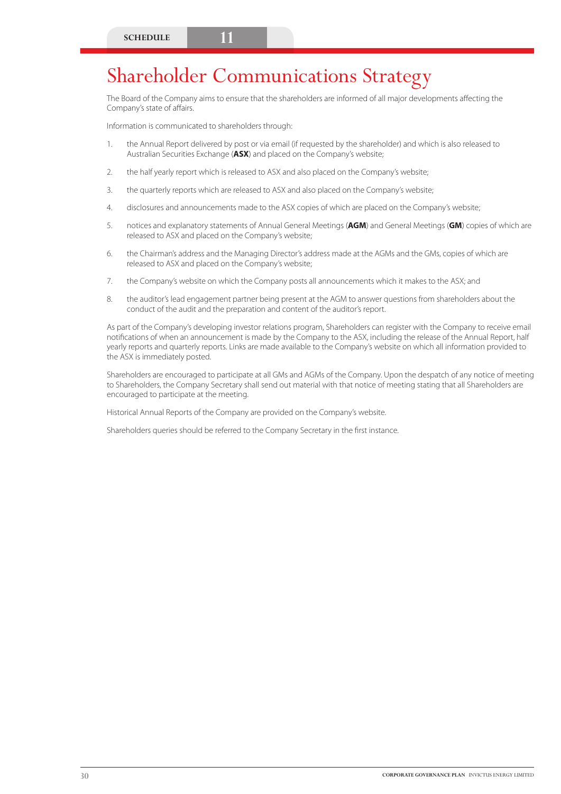# Shareholder Communications Strategy

The Board of the Company aims to ensure that the shareholders are informed of all major developments affecting the Company's state of affairs.

Information is communicated to shareholders through:

- 1. the Annual Report delivered by post or via email (if requested by the shareholder) and which is also released to Australian Securities Exchange (**ASX**) and placed on the Company's website;
- 2. the half yearly report which is released to ASX and also placed on the Company's website;
- 3. the quarterly reports which are released to ASX and also placed on the Company's website;
- 4. disclosures and announcements made to the ASX copies of which are placed on the Company's website;
- 5. notices and explanatory statements of Annual General Meetings (**AGM**) and General Meetings (**GM**) copies of which are released to ASX and placed on the Company's website;
- 6. the Chairman's address and the Managing Director's address made at the AGMs and the GMs, copies of which are released to ASX and placed on the Company's website;
- 7. the Company's website on which the Company posts all announcements which it makes to the ASX; and
- 8. the auditor's lead engagement partner being present at the AGM to answer questions from shareholders about the conduct of the audit and the preparation and content of the auditor's report.

As part of the Company's developing investor relations program, Shareholders can register with the Company to receive email notifications of when an announcement is made by the Company to the ASX, including the release of the Annual Report, half yearly reports and quarterly reports. Links are made available to the Company's website on which all information provided to the ASX is immediately posted.

Shareholders are encouraged to participate at all GMs and AGMs of the Company. Upon the despatch of any notice of meeting to Shareholders, the Company Secretary shall send out material with that notice of meeting stating that all Shareholders are encouraged to participate at the meeting.

Historical Annual Reports of the Company are provided on the Company's website.

Shareholders queries should be referred to the Company Secretary in the first instance.